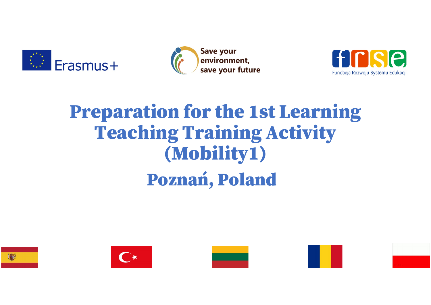





## Erasmus + Convironment.<br> **Preparation for the 1st Learning Example 150 Feaming**<br>Teaching Training Activity<br>(Mobility1) (Mobility1) ing Training Acti<br>(Mobility1)<br>Poznań, Poland







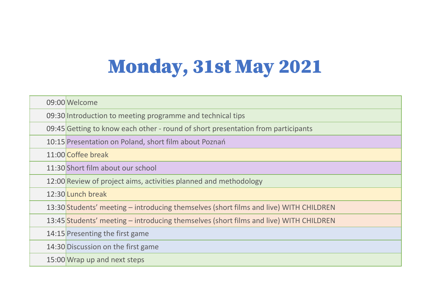## Monday, 31st May 2021

| <b>Monday, 31st May 2021</b>                                                          |
|---------------------------------------------------------------------------------------|
|                                                                                       |
|                                                                                       |
| 09:00 Welcome                                                                         |
| 09:30 Introduction to meeting programme and technical tips                            |
| 09:45 Getting to know each other - round of short presentation from participants      |
| 10:15 Presentation on Poland, short film about Poznań                                 |
| 11:00 Coffee break                                                                    |
| 11:30 Short film about our school                                                     |
| 12:00 Review of project aims, activities planned and methodology                      |
| 12:30 Lunch break                                                                     |
| 13:30 Students' meeting – introducing themselves (short films and live) WITH CHILDREN |
| 13:45 Students' meeting – introducing themselves (short films and live) WITH CHILDREN |
| 14:15 Presenting the first game                                                       |
| 14:30 Discussion on the first game                                                    |
| 15:00 Wrap up and next steps                                                          |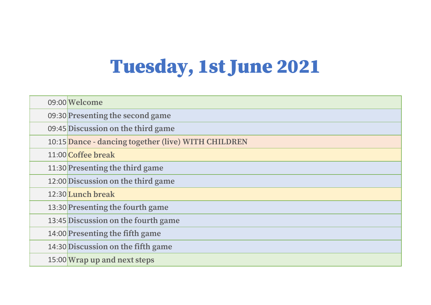## Tuesday, 1st June 2021

| <b>Tuesday, 1st June 2021</b> |                                                     |  |
|-------------------------------|-----------------------------------------------------|--|
|                               | 09:00 Welcome                                       |  |
|                               | 09:30 Presenting the second game                    |  |
|                               | 09:45 Discussion on the third game                  |  |
|                               | 10:15 Dance - dancing together (live) WITH CHILDREN |  |
|                               | 11:00 Coffee break                                  |  |
|                               | 11:30 Presenting the third game                     |  |
|                               | 12:00 Discussion on the third game                  |  |
|                               | 12:30 Lunch break                                   |  |
|                               | 13:30 Presenting the fourth game                    |  |
|                               | 13:45 Discussion on the fourth game                 |  |
|                               | 14:00 Presenting the fifth game                     |  |
|                               | 14:30 Discussion on the fifth game                  |  |
|                               | 15:00 Wrap up and next steps                        |  |